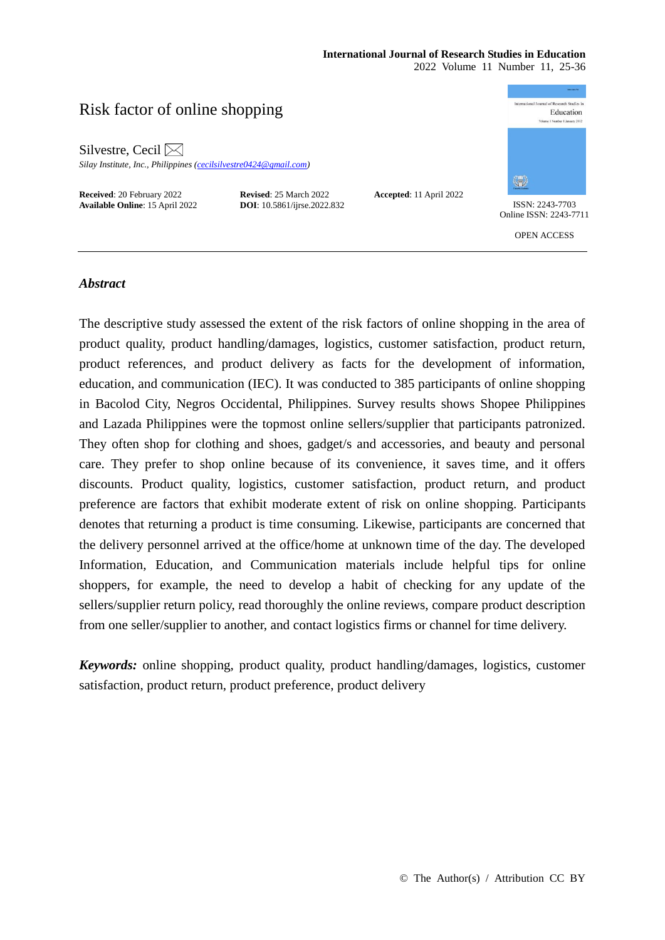# **International Journal of Research Studies in Education**

2022 Volume 11 Number 11, 25-36

# Risk factor of online shopping

Silvestre, Cecil  $\boxtimes$ 

*Silay Institute, Inc., Philippines [\(cecilsilvestre0424@gmail.com\)](mailto:cecilsilvestre0424@gmail.com)*

**Received**: 20 February 2022 **Revised**: 25 March 2022 **Accepted**: 11 April 2022 **Available Online**: 15 April 2022 **DOI**: 10.5861/ijrse.2022.832 ISSN: 2243-7703



Online ISSN: 2243-7711

OPEN ACCESS

# *Abstract*

The descriptive study assessed the extent of the risk factors of online shopping in the area of product quality, product handling/damages, logistics, customer satisfaction, product return, product references, and product delivery as facts for the development of information, education, and communication (IEC). It was conducted to 385 participants of online shopping in Bacolod City, Negros Occidental, Philippines. Survey results shows Shopee Philippines and Lazada Philippines were the topmost online sellers/supplier that participants patronized. They often shop for clothing and shoes, gadget/s and accessories, and beauty and personal care. They prefer to shop online because of its convenience, it saves time, and it offers discounts. Product quality, logistics, customer satisfaction, product return, and product preference are factors that exhibit moderate extent of risk on online shopping. Participants denotes that returning a product is time consuming. Likewise, participants are concerned that the delivery personnel arrived at the office/home at unknown time of the day. The developed Information, Education, and Communication materials include helpful tips for online shoppers, for example, the need to develop a habit of checking for any update of the sellers/supplier return policy, read thoroughly the online reviews, compare product description from one seller/supplier to another, and contact logistics firms or channel for time delivery.

*Keywords:* online shopping, product quality, product handling/damages, logistics, customer satisfaction, product return, product preference, product delivery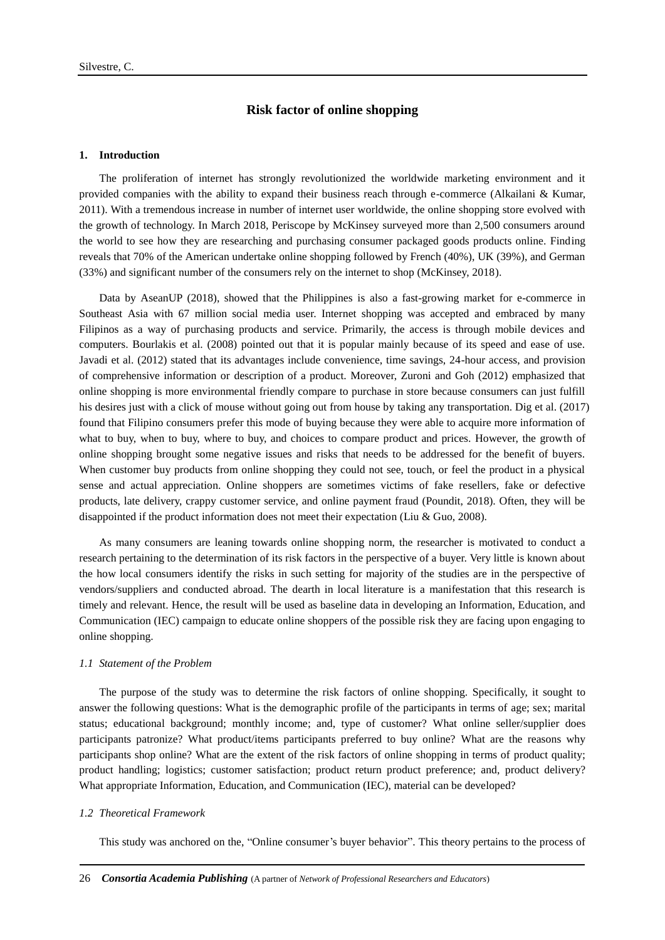# **Risk factor of online shopping**

#### **1. Introduction**

The proliferation of internet has strongly revolutionized the worldwide marketing environment and it provided companies with the ability to expand their business reach through e-commerce (Alkailani & Kumar, 2011). With a tremendous increase in number of internet user worldwide, the online shopping store evolved with the growth of technology. In March 2018, Periscope by McKinsey surveyed more than 2,500 consumers around the world to see how they are researching and purchasing consumer packaged goods products online. Finding reveals that 70% of the American undertake online shopping followed by French (40%), UK (39%), and German (33%) and significant number of the consumers rely on the internet to shop (McKinsey, 2018).

Data by AseanUP (2018), showed that the Philippines is also a fast-growing market for e-commerce in Southeast Asia with 67 million social media user. Internet shopping was accepted and embraced by many Filipinos as a way of purchasing products and service. Primarily, the access is through mobile devices and computers. Bourlakis et al. (2008) pointed out that it is popular mainly because of its speed and ease of use. Javadi et al. (2012) stated that its advantages include convenience, time savings, 24-hour access, and provision of comprehensive information or description of a product. Moreover, Zuroni and Goh (2012) emphasized that online shopping is more environmental friendly compare to purchase in store because consumers can just fulfill his desires just with a click of mouse without going out from house by taking any transportation. Dig et al. (2017) found that Filipino consumers prefer this mode of buying because they were able to acquire more information of what to buy, when to buy, where to buy, and choices to compare product and prices. However, the growth of online shopping brought some negative issues and risks that needs to be addressed for the benefit of buyers. When customer buy products from online shopping they could not see, touch, or feel the product in a physical sense and actual appreciation. Online shoppers are sometimes victims of fake resellers, fake or defective products, late delivery, crappy customer service, and online payment fraud (Poundit, 2018). Often, they will be disappointed if the product information does not meet their expectation (Liu & Guo, 2008).

As many consumers are leaning towards online shopping norm, the researcher is motivated to conduct a research pertaining to the determination of its risk factors in the perspective of a buyer. Very little is known about the how local consumers identify the risks in such setting for majority of the studies are in the perspective of vendors/suppliers and conducted abroad. The dearth in local literature is a manifestation that this research is timely and relevant. Hence, the result will be used as baseline data in developing an Information, Education, and Communication (IEC) campaign to educate online shoppers of the possible risk they are facing upon engaging to online shopping.

#### *1.1 Statement of the Problem*

The purpose of the study was to determine the risk factors of online shopping. Specifically, it sought to answer the following questions: What is the demographic profile of the participants in terms of age; sex; marital status; educational background; monthly income; and, type of customer? What online seller/supplier does participants patronize? What product/items participants preferred to buy online? What are the reasons why participants shop online? What are the extent of the risk factors of online shopping in terms of product quality; product handling; logistics; customer satisfaction; product return product preference; and, product delivery? What appropriate Information, Education, and Communication (IEC), material can be developed?

#### *1.2 Theoretical Framework*

This study was anchored on the, "Online consumer's buyer behavior". This theory pertains to the process of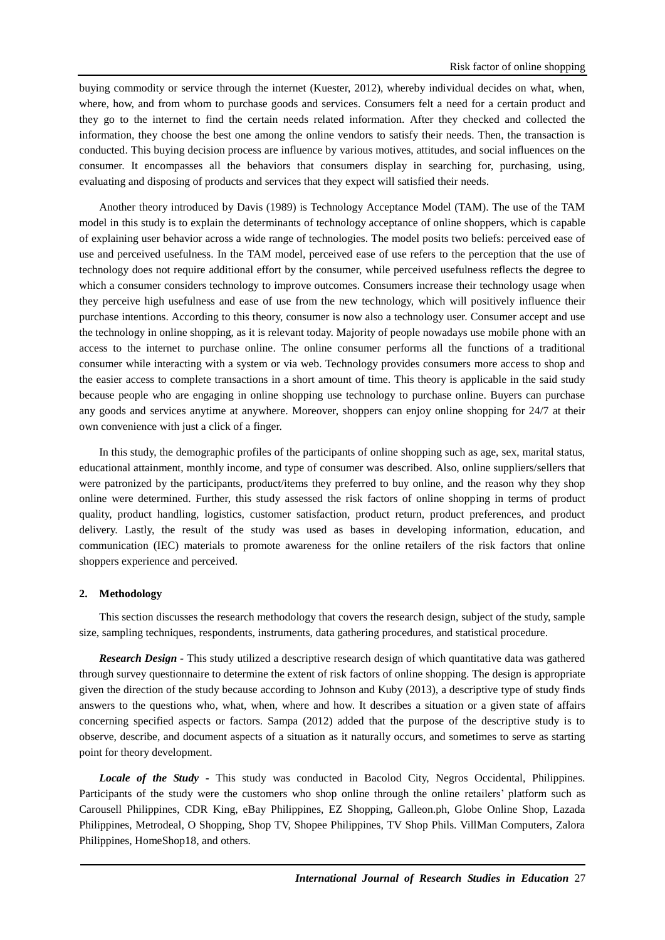buying commodity or service through the internet (Kuester, 2012), whereby individual decides on what, when, where, how, and from whom to purchase goods and services. Consumers felt a need for a certain product and they go to the internet to find the certain needs related information. After they checked and collected the information, they choose the best one among the online vendors to satisfy their needs. Then, the transaction is conducted. This buying decision process are influence by various motives, attitudes, and social influences on the consumer. It encompasses all the behaviors that consumers display in searching for, purchasing, using, evaluating and disposing of products and services that they expect will satisfied their needs.

Another theory introduced by Davis (1989) is Technology Acceptance Model (TAM). The use of the TAM model in this study is to explain the determinants of technology acceptance of online shoppers, which is capable of explaining user behavior across a wide range of technologies. The model posits two beliefs: perceived ease of use and perceived usefulness. In the TAM model, perceived ease of use refers to the perception that the use of technology does not require additional effort by the consumer, while perceived usefulness reflects the degree to which a consumer considers technology to improve outcomes. Consumers increase their technology usage when they perceive high usefulness and ease of use from the new technology, which will positively influence their purchase intentions. According to this theory, consumer is now also a technology user. Consumer accept and use the technology in online shopping, as it is relevant today. Majority of people nowadays use mobile phone with an access to the internet to purchase online. The online consumer performs all the functions of a traditional consumer while interacting with a system or via web. Technology provides consumers more access to shop and the easier access to complete transactions in a short amount of time. This theory is applicable in the said study because people who are engaging in online shopping use technology to purchase online. Buyers can purchase any goods and services anytime at anywhere. Moreover, shoppers can enjoy online shopping for 24/7 at their own convenience with just a click of a finger.

In this study, the demographic profiles of the participants of online shopping such as age, sex, marital status, educational attainment, monthly income, and type of consumer was described. Also, online suppliers/sellers that were patronized by the participants, product/items they preferred to buy online, and the reason why they shop online were determined. Further, this study assessed the risk factors of online shopping in terms of product quality, product handling, logistics, customer satisfaction, product return, product preferences, and product delivery. Lastly, the result of the study was used as bases in developing information, education, and communication (IEC) materials to promote awareness for the online retailers of the risk factors that online shoppers experience and perceived.

#### **2. Methodology**

This section discusses the research methodology that covers the research design, subject of the study, sample size, sampling techniques, respondents, instruments, data gathering procedures, and statistical procedure.

*Research Design -* This study utilized a descriptive research design of which quantitative data was gathered through survey questionnaire to determine the extent of risk factors of online shopping. The design is appropriate given the direction of the study because according to Johnson and Kuby (2013), a descriptive type of study finds answers to the questions who, what, when, where and how. It describes a situation or a given state of affairs concerning specified aspects or factors. Sampa (2012) added that the purpose of the descriptive study is to observe, describe, and document aspects of a situation as it naturally occurs, and sometimes to serve as starting point for theory development.

*Locale of the Study -* This study was conducted in Bacolod City, Negros Occidental, Philippines. Participants of the study were the customers who shop online through the online retailers' platform such as Carousell Philippines, CDR King, eBay Philippines, EZ Shopping, Galleon.ph, Globe Online Shop, Lazada Philippines, Metrodeal, O Shopping, Shop TV, Shopee Philippines, TV Shop Phils. VillMan Computers, Zalora Philippines, HomeShop18, and others.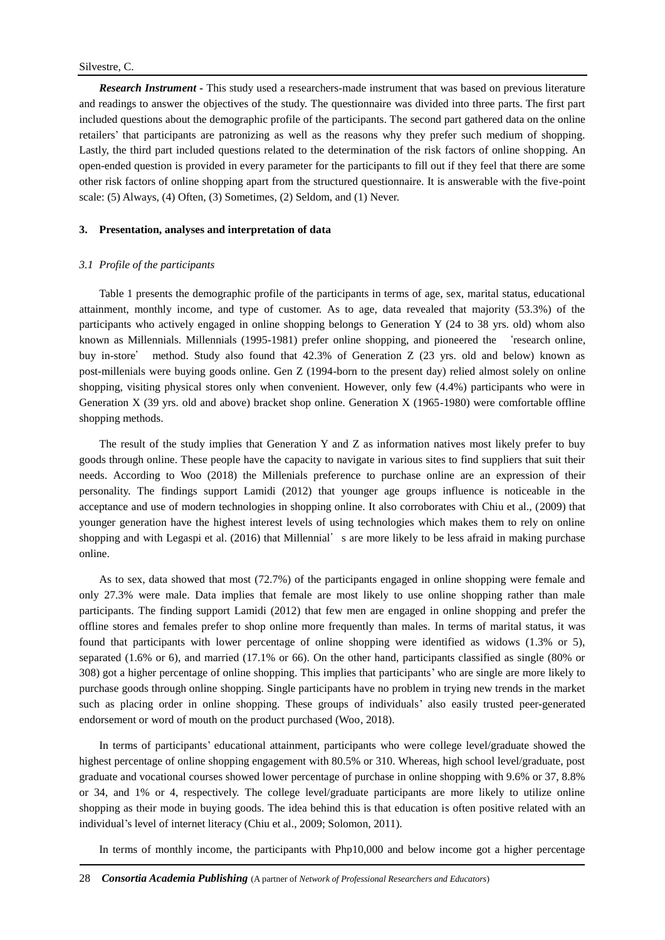*Research Instrument -* This study used a researchers-made instrument that was based on previous literature and readings to answer the objectives of the study. The questionnaire was divided into three parts. The first part included questions about the demographic profile of the participants. The second part gathered data on the online retailers' that participants are patronizing as well as the reasons why they prefer such medium of shopping. Lastly, the third part included questions related to the determination of the risk factors of online shopping. An open-ended question is provided in every parameter for the participants to fill out if they feel that there are some other risk factors of online shopping apart from the structured questionnaire. It is answerable with the five-point scale: (5) Always, (4) Often, (3) Sometimes, (2) Seldom, and (1) Never.

#### **3. Presentation, analyses and interpretation of data**

#### *3.1 Profile of the participants*

Table 1 presents the demographic profile of the participants in terms of age, sex, marital status, educational attainment, monthly income, and type of customer. As to age, data revealed that majority (53.3%) of the participants who actively engaged in online shopping belongs to Generation Y (24 to 38 yrs. old) whom also known as Millennials. Millennials (1995-1981) prefer online shopping, and pioneered the 'research online, buy in-store' method. Study also found that 42.3% of Generation Z (23 yrs. old and below) known as post-millenials were buying goods online. Gen Z (1994-born to the present day) relied almost solely on online shopping, visiting physical stores only when convenient. However, only few (4.4%) participants who were in Generation X (39 yrs. old and above) bracket shop online. Generation X (1965-1980) were comfortable offline shopping methods.

The result of the study implies that Generation Y and Z as information natives most likely prefer to buy goods through online. These people have the capacity to navigate in various sites to find suppliers that suit their needs. According to Woo (2018) the Millenials preference to purchase online are an expression of their personality. The findings support Lamidi (2012) that younger age groups influence is noticeable in the acceptance and use of modern technologies in shopping online. It also corroborates with Chiu et al., (2009) that younger generation have the highest interest levels of using technologies which makes them to rely on online shopping and with Legaspi et al. (2016) that Millennial's are more likely to be less afraid in making purchase online.

As to sex, data showed that most (72.7%) of the participants engaged in online shopping were female and only 27.3% were male. Data implies that female are most likely to use online shopping rather than male participants. The finding support Lamidi (2012) that few men are engaged in online shopping and prefer the offline stores and females prefer to shop online more frequently than males. In terms of marital status, it was found that participants with lower percentage of online shopping were identified as widows (1.3% or 5), separated (1.6% or 6), and married (17.1% or 66). On the other hand, participants classified as single (80% or 308) got a higher percentage of online shopping. This implies that participants' who are single are more likely to purchase goods through online shopping. Single participants have no problem in trying new trends in the market such as placing order in online shopping. These groups of individuals' also easily trusted peer-generated endorsement or word of mouth on the product purchased (Woo, 2018).

In terms of participants' educational attainment, participants who were college level/graduate showed the highest percentage of online shopping engagement with 80.5% or 310. Whereas, high school level/graduate, post graduate and vocational courses showed lower percentage of purchase in online shopping with 9.6% or 37, 8.8% or 34, and 1% or 4, respectively. The college level/graduate participants are more likely to utilize online shopping as their mode in buying goods. The idea behind this is that education is often positive related with an individual's level of internet literacy (Chiu et al., 2009; Solomon, 2011).

In terms of monthly income, the participants with Php10,000 and below income got a higher percentage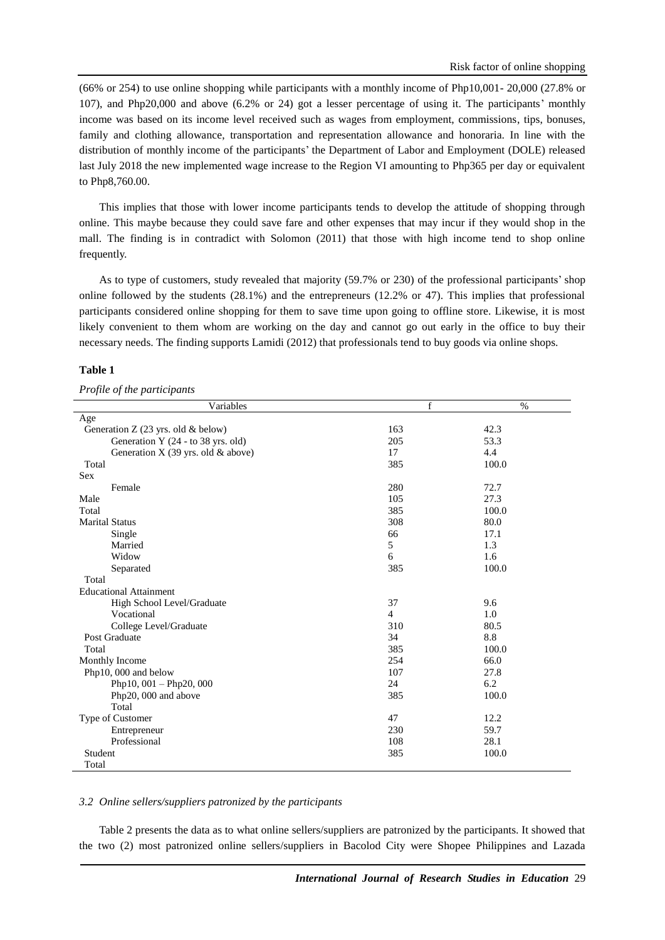(66% or 254) to use online shopping while participants with a monthly income of Php10,001- 20,000 (27.8% or 107), and Php20,000 and above (6.2% or 24) got a lesser percentage of using it. The participants' monthly income was based on its income level received such as wages from employment, commissions, tips, bonuses, family and clothing allowance, transportation and representation allowance and honoraria. In line with the distribution of monthly income of the participants' the Department of Labor and Employment (DOLE) released last July 2018 the new implemented wage increase to the Region VI amounting to Php365 per day or equivalent to Php8,760.00.

This implies that those with lower income participants tends to develop the attitude of shopping through online. This maybe because they could save fare and other expenses that may incur if they would shop in the mall. The finding is in contradict with Solomon (2011) that those with high income tend to shop online frequently.

As to type of customers, study revealed that majority (59.7% or 230) of the professional participants' shop online followed by the students (28.1%) and the entrepreneurs (12.2% or 47). This implies that professional participants considered online shopping for them to save time upon going to offline store. Likewise, it is most likely convenient to them whom are working on the day and cannot go out early in the office to buy their necessary needs. The finding supports Lamidi (2012) that professionals tend to buy goods via online shops.

#### **Table 1**

#### *Profile of the participants*

| Variables                            | f              | $\%$  |
|--------------------------------------|----------------|-------|
| Age                                  |                |       |
| Generation Z (23 yrs. old & below)   | 163            | 42.3  |
| Generation Y (24 - to 38 yrs. old)   | 205            | 53.3  |
| Generation X (39 yrs. old $&$ above) | 17             | 4.4   |
| Total                                | 385            | 100.0 |
| <b>Sex</b>                           |                |       |
| Female                               | 280            | 72.7  |
| Male                                 | 105            | 27.3  |
| Total                                | 385            | 100.0 |
| <b>Marital Status</b>                | 308            | 80.0  |
| Single                               | 66             | 17.1  |
| Married                              | 5              | 1.3   |
| Widow                                | 6              | 1.6   |
| Separated                            | 385            | 100.0 |
| Total                                |                |       |
| <b>Educational Attainment</b>        |                |       |
| High School Level/Graduate           | 37             | 9.6   |
| Vocational                           | $\overline{4}$ | 1.0   |
| College Level/Graduate               | 310            | 80.5  |
| Post Graduate                        | 34             | 8.8   |
| Total                                | 385            | 100.0 |
| Monthly Income                       | 254            | 66.0  |
| Php10, 000 and below                 | 107            | 27.8  |
| Php10, 001 - Php20, 000              | 24             | 6.2   |
| Php20, 000 and above                 | 385            | 100.0 |
| Total                                |                |       |
| Type of Customer                     | 47             | 12.2  |
| Entrepreneur                         | 230            | 59.7  |
| Professional                         | 108            | 28.1  |
| Student                              | 385            | 100.0 |
| Total                                |                |       |

#### *3.2 Online sellers/suppliers patronized by the participants*

Table 2 presents the data as to what online sellers/suppliers are patronized by the participants. It showed that the two (2) most patronized online sellers/suppliers in Bacolod City were Shopee Philippines and Lazada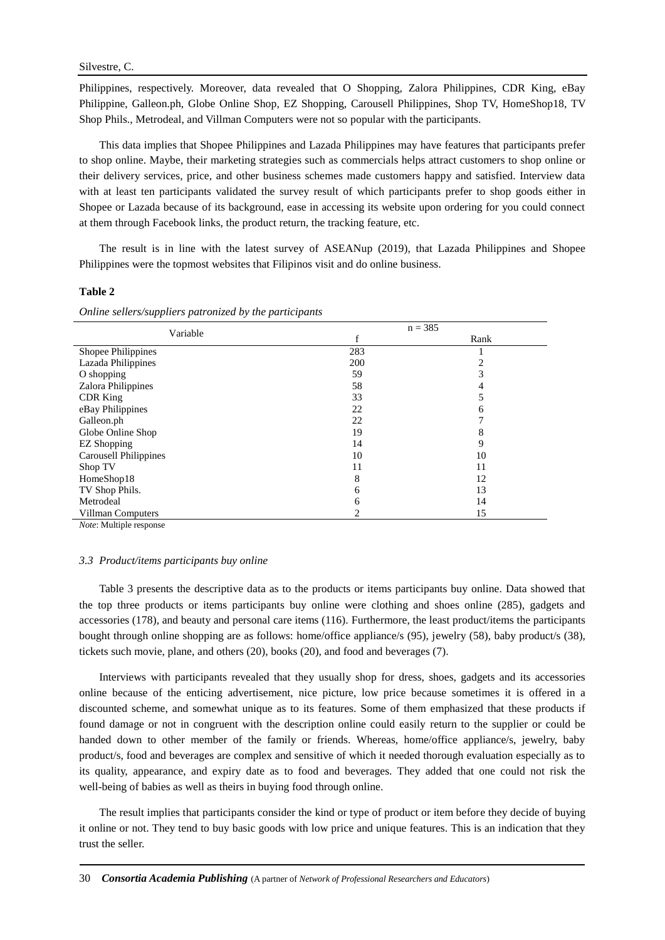Philippines, respectively. Moreover, data revealed that O Shopping, Zalora Philippines, CDR King, eBay Philippine, Galleon.ph, Globe Online Shop, EZ Shopping, Carousell Philippines, Shop TV, HomeShop18, TV Shop Phils., Metrodeal, and Villman Computers were not so popular with the participants.

This data implies that Shopee Philippines and Lazada Philippines may have features that participants prefer to shop online. Maybe, their marketing strategies such as commercials helps attract customers to shop online or their delivery services, price, and other business schemes made customers happy and satisfied. Interview data with at least ten participants validated the survey result of which participants prefer to shop goods either in Shopee or Lazada because of its background, ease in accessing its website upon ordering for you could connect at them through Facebook links, the product return, the tracking feature, etc.

The result is in line with the latest survey of ASEANup (2019), that Lazada Philippines and Shopee Philippines were the topmost websites that Filipinos visit and do online business.

#### **Table 2**

*Online sellers/suppliers patronized by the participants*

| Variable                     |     | $n = 385$ |
|------------------------------|-----|-----------|
|                              | f   | Rank      |
| Shopee Philippines           | 283 |           |
| Lazada Philippines           | 200 |           |
| O shopping                   | 59  |           |
| Zalora Philippines           | 58  |           |
| <b>CDR</b> King              | 33  |           |
| eBay Philippines             | 22  | 6         |
| Galleon.ph                   | 22  |           |
| Globe Online Shop            | 19  | 8         |
| <b>EZ</b> Shopping           | 14  | 9         |
| <b>Carousell Philippines</b> | 10  | 10        |
| Shop TV                      | 11  | 11        |
| HomeShop18                   | 8   | 12        |
| TV Shop Phils.               | 6   | 13        |
| Metrodeal                    | 6   | 14        |
| Villman Computers            | 2   | 15        |

*Note*: Multiple response

#### *3.3 Product/items participants buy online*

Table 3 presents the descriptive data as to the products or items participants buy online. Data showed that the top three products or items participants buy online were clothing and shoes online (285), gadgets and accessories (178), and beauty and personal care items (116). Furthermore, the least product/items the participants bought through online shopping are as follows: home/office appliance/s (95), jewelry (58), baby product/s (38), tickets such movie, plane, and others (20), books (20), and food and beverages (7).

Interviews with participants revealed that they usually shop for dress, shoes, gadgets and its accessories online because of the enticing advertisement, nice picture, low price because sometimes it is offered in a discounted scheme, and somewhat unique as to its features. Some of them emphasized that these products if found damage or not in congruent with the description online could easily return to the supplier or could be handed down to other member of the family or friends. Whereas, home/office appliance/s, jewelry, baby product/s, food and beverages are complex and sensitive of which it needed thorough evaluation especially as to its quality, appearance, and expiry date as to food and beverages. They added that one could not risk the well-being of babies as well as theirs in buying food through online.

The result implies that participants consider the kind or type of product or item before they decide of buying it online or not. They tend to buy basic goods with low price and unique features. This is an indication that they trust the seller.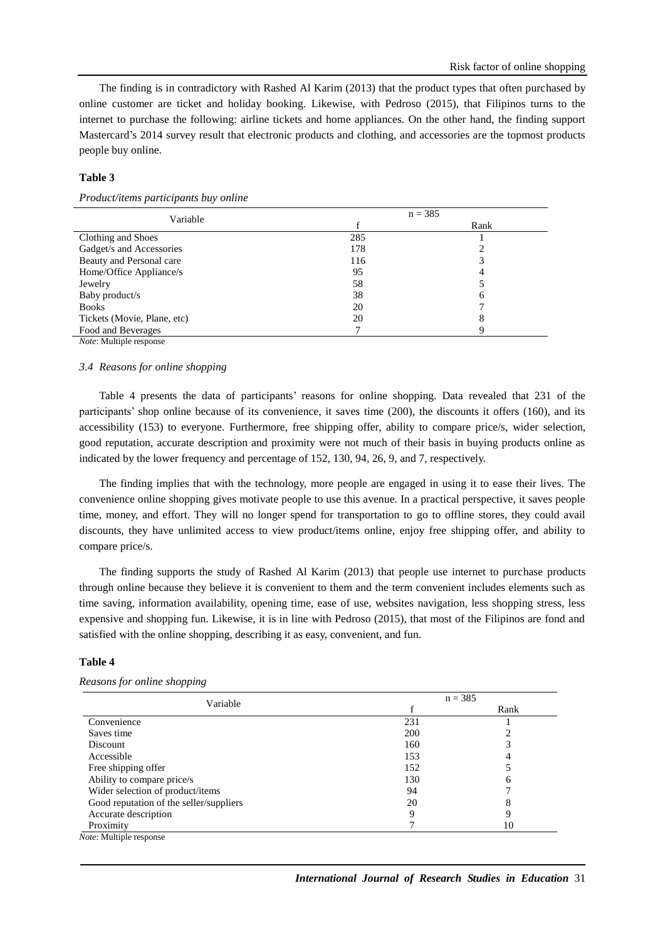The finding is in contradictory with Rashed Al Karim (2013) that the product types that often purchased by online customer are ticket and holiday booking. Likewise, with Pedroso (2015), that Filipinos turns to the internet to purchase the following: airline tickets and home appliances. On the other hand, the finding support Mastercard's 2014 survey result that electronic products and clothing, and accessories are the topmost products people buy online.

### **Table 3**

*Product/items participants buy online*

| Variable                       |     | $n = 385$ |
|--------------------------------|-----|-----------|
|                                |     | Rank      |
| Clothing and Shoes             | 285 |           |
| Gadget/s and Accessories       | 178 |           |
| Beauty and Personal care       | 116 |           |
| Home/Office Appliance/s        | 95  |           |
| Jewelry                        | 58  |           |
| Baby product/s                 | 38  | 6         |
| <b>Books</b>                   | 20  |           |
| Tickets (Movie, Plane, etc)    | 20  | 8         |
| Food and Beverages             |     | Q         |
| <i>Note:</i> Multiple response |     |           |

#### *3.4 Reasons for online shopping*

Table 4 presents the data of participants' reasons for online shopping. Data revealed that 231 of the participants' shop online because of its convenience, it saves time (200), the discounts it offers (160), and its accessibility (153) to everyone. Furthermore, free shipping offer, ability to compare price/s, wider selection, good reputation, accurate description and proximity were not much of their basis in buying products online as indicated by the lower frequency and percentage of 152, 130, 94, 26, 9, and 7, respectively.

The finding implies that with the technology, more people are engaged in using it to ease their lives. The convenience online shopping gives motivate people to use this avenue. In a practical perspective, it saves people time, money, and effort. They will no longer spend for transportation to go to offline stores, they could avail discounts, they have unlimited access to view product/items online, enjoy free shipping offer, and ability to compare price/s.

The finding supports the study of Rashed Al Karim (2013) that people use internet to purchase products through online because they believe it is convenient to them and the term convenient includes elements such as time saving, information availability, opening time, ease of use, websites navigation, less shopping stress, less expensive and shopping fun. Likewise, it is in line with Pedroso (2015), that most of the Filipinos are fond and satisfied with the online shopping, describing it as easy, convenient, and fun.

# **Table 4**

#### *Reasons for online shopping*

| Variable                                |     | $n = 385$ |  |  |
|-----------------------------------------|-----|-----------|--|--|
|                                         |     | Rank      |  |  |
| Convenience                             | 231 |           |  |  |
| Saves time                              | 200 |           |  |  |
| Discount                                | 160 |           |  |  |
| Accessible                              | 153 |           |  |  |
| Free shipping offer                     | 152 |           |  |  |
| Ability to compare price/s              | 130 | h         |  |  |
| Wider selection of product/items        | 94  |           |  |  |
| Good reputation of the seller/suppliers | 20  | 8         |  |  |
| Accurate description                    |     |           |  |  |
| Proximity                               |     | 10        |  |  |
| <i>Note</i> : Multiple response         |     |           |  |  |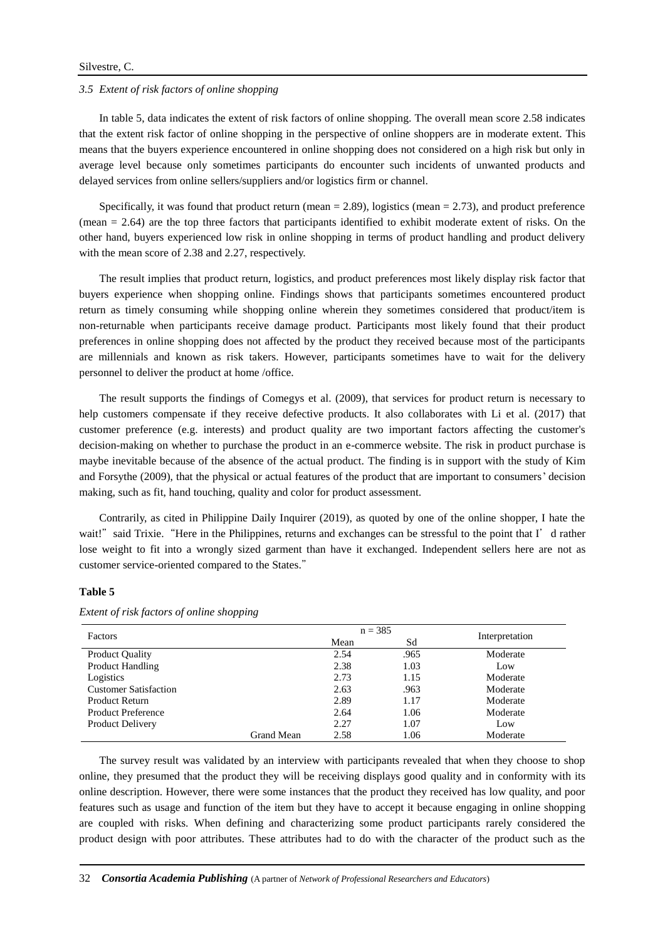# Silvestre, C.

#### *3.5 Extent of risk factors of online shopping*

In table 5, data indicates the extent of risk factors of online shopping. The overall mean score 2.58 indicates that the extent risk factor of online shopping in the perspective of online shoppers are in moderate extent. This means that the buyers experience encountered in online shopping does not considered on a high risk but only in average level because only sometimes participants do encounter such incidents of unwanted products and delayed services from online sellers/suppliers and/or logistics firm or channel.

Specifically, it was found that product return (mean  $= 2.89$ ), logistics (mean  $= 2.73$ ), and product preference (mean = 2.64) are the top three factors that participants identified to exhibit moderate extent of risks. On the other hand, buyers experienced low risk in online shopping in terms of product handling and product delivery with the mean score of 2.38 and 2.27, respectively.

The result implies that product return, logistics, and product preferences most likely display risk factor that buyers experience when shopping online. Findings shows that participants sometimes encountered product return as timely consuming while shopping online wherein they sometimes considered that product/item is non-returnable when participants receive damage product. Participants most likely found that their product preferences in online shopping does not affected by the product they received because most of the participants are millennials and known as risk takers. However, participants sometimes have to wait for the delivery personnel to deliver the product at home /office.

The result supports the findings of Comegys et al. (2009), that services for product return is necessary to help customers compensate if they receive defective products. It also collaborates with Li et al. (2017) that customer preference (e.g. interests) and product quality are two important factors affecting the customer's decision-making on whether to purchase the product in an e-commerce website. The risk in product purchase is maybe inevitable because of the absence of the actual product. The finding is in support with the study of Kim and Forsythe (2009), that the physical or actual features of the product that are important to consumers' decision making, such as fit, hand touching, quality and color for product assessment.

Contrarily, as cited in Philippine Daily Inquirer (2019), as quoted by one of the online shopper, I hate the wait!" said Trixie. "Here in the Philippines, returns and exchanges can be stressful to the point that I' d rather lose weight to fit into a wrongly sized garment than have it exchanged. Independent sellers here are not as customer service-oriented compared to the States."

# **Table 5**

| Factors                      |            | $n = 385$ |      | Interpretation |
|------------------------------|------------|-----------|------|----------------|
|                              | Mean       | Sd        |      |                |
| <b>Product Quality</b>       |            | 2.54      | .965 | Moderate       |
| <b>Product Handling</b>      |            | 2.38      | 1.03 | Low            |
| Logistics                    |            | 2.73      | 1.15 | Moderate       |
| <b>Customer Satisfaction</b> |            | 2.63      | .963 | Moderate       |
| Product Return               |            | 2.89      | 1.17 | Moderate       |
| <b>Product Preference</b>    |            | 2.64      | 1.06 | Moderate       |
| Product Delivery             |            | 2.27      | 1.07 | Low            |
|                              | Grand Mean | 2.58      | 1.06 | Moderate       |

*Extent of risk factors of online shopping* 

The survey result was validated by an interview with participants revealed that when they choose to shop online, they presumed that the product they will be receiving displays good quality and in conformity with its online description. However, there were some instances that the product they received has low quality, and poor features such as usage and function of the item but they have to accept it because engaging in online shopping are coupled with risks. When defining and characterizing some product participants rarely considered the product design with poor attributes. These attributes had to do with the character of the product such as the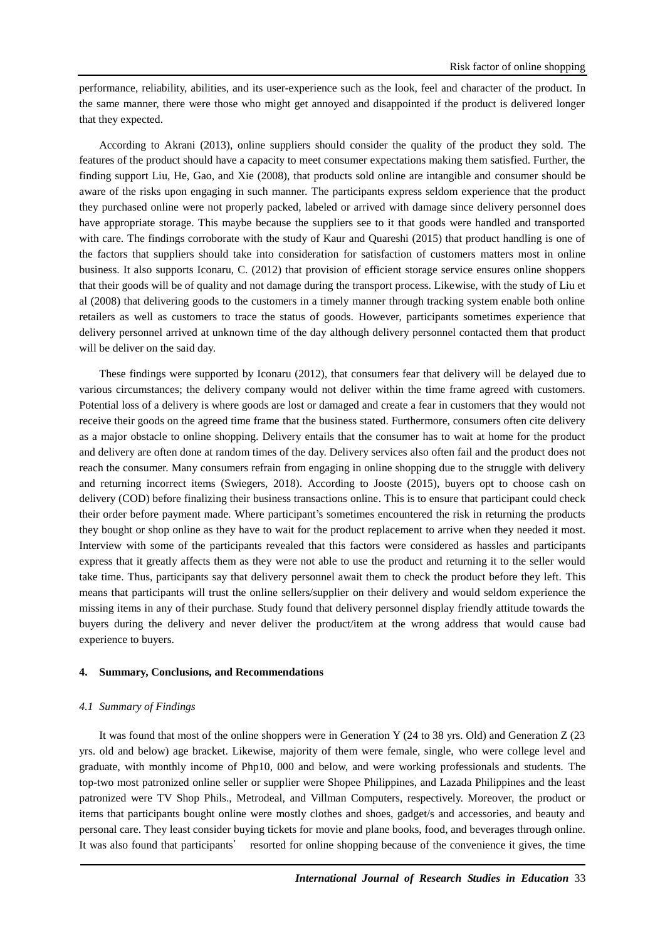performance, reliability, abilities, and its user-experience such as the look, feel and character of the product. In the same manner, there were those who might get annoyed and disappointed if the product is delivered longer that they expected.

According to Akrani (2013), online suppliers should consider the quality of the product they sold. The features of the product should have a capacity to meet consumer expectations making them satisfied. Further, the finding support Liu, He, Gao, and Xie (2008), that products sold online are intangible and consumer should be aware of the risks upon engaging in such manner. The participants express seldom experience that the product they purchased online were not properly packed, labeled or arrived with damage since delivery personnel does have appropriate storage. This maybe because the suppliers see to it that goods were handled and transported with care. The findings corroborate with the study of Kaur and Quareshi (2015) that product handling is one of the factors that suppliers should take into consideration for satisfaction of customers matters most in online business. It also supports Iconaru, C. (2012) that provision of efficient storage service ensures online shoppers that their goods will be of quality and not damage during the transport process. Likewise, with the study of Liu et al (2008) that delivering goods to the customers in a timely manner through tracking system enable both online retailers as well as customers to trace the status of goods. However, participants sometimes experience that delivery personnel arrived at unknown time of the day although delivery personnel contacted them that product will be deliver on the said day.

These findings were supported by Iconaru (2012), that consumers fear that delivery will be delayed due to various circumstances; the delivery company would not deliver within the time frame agreed with customers. Potential loss of a delivery is where goods are lost or damaged and create a fear in customers that they would not receive their goods on the agreed time frame that the business stated. Furthermore, consumers often cite delivery as a major obstacle to online shopping. Delivery entails that the consumer has to wait at home for the product and delivery are often done at random times of the day. Delivery services also often fail and the product does not reach the consumer. Many consumers refrain from engaging in online shopping due to the struggle with delivery and returning incorrect items (Swiegers, 2018). According to Jooste (2015), buyers opt to choose cash on delivery (COD) before finalizing their business transactions online. This is to ensure that participant could check their order before payment made. Where participant's sometimes encountered the risk in returning the products they bought or shop online as they have to wait for the product replacement to arrive when they needed it most. Interview with some of the participants revealed that this factors were considered as hassles and participants express that it greatly affects them as they were not able to use the product and returning it to the seller would take time. Thus, participants say that delivery personnel await them to check the product before they left. This means that participants will trust the online sellers/supplier on their delivery and would seldom experience the missing items in any of their purchase. Study found that delivery personnel display friendly attitude towards the buyers during the delivery and never deliver the product/item at the wrong address that would cause bad experience to buyers.

#### **4. Summary, Conclusions, and Recommendations**

#### *4.1 Summary of Findings*

It was found that most of the online shoppers were in Generation Y (24 to 38 yrs. Old) and Generation Z (23 yrs. old and below) age bracket. Likewise, majority of them were female, single, who were college level and graduate, with monthly income of Php10, 000 and below, and were working professionals and students. The top-two most patronized online seller or supplier were Shopee Philippines, and Lazada Philippines and the least patronized were TV Shop Phils., Metrodeal, and Villman Computers, respectively. Moreover, the product or items that participants bought online were mostly clothes and shoes, gadget/s and accessories, and beauty and personal care. They least consider buying tickets for movie and plane books, food, and beverages through online. It was also found that participants' resorted for online shopping because of the convenience it gives, the time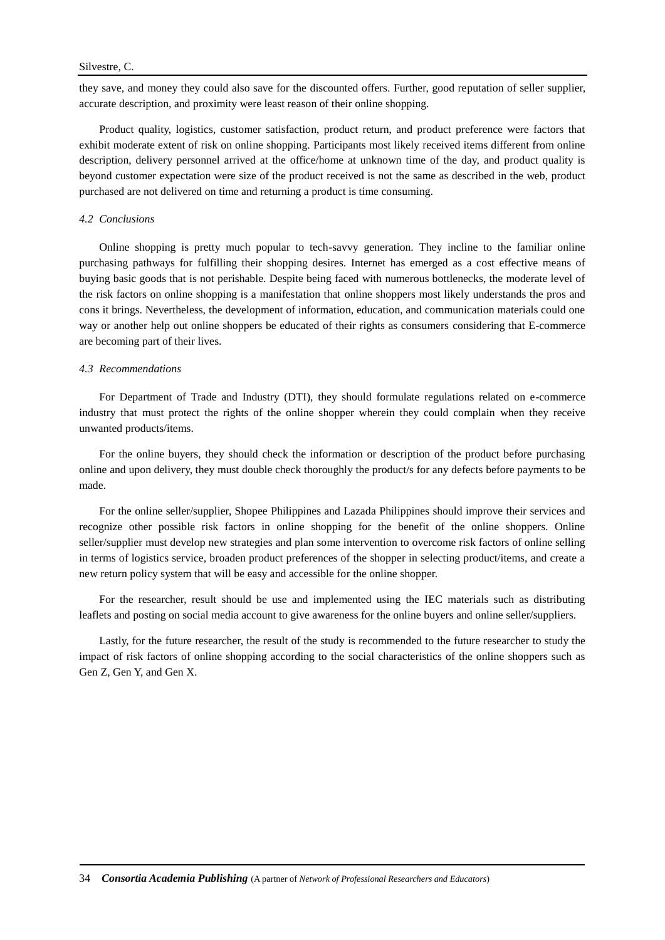they save, and money they could also save for the discounted offers. Further, good reputation of seller supplier, accurate description, and proximity were least reason of their online shopping.

Product quality, logistics, customer satisfaction, product return, and product preference were factors that exhibit moderate extent of risk on online shopping. Participants most likely received items different from online description, delivery personnel arrived at the office/home at unknown time of the day, and product quality is beyond customer expectation were size of the product received is not the same as described in the web, product purchased are not delivered on time and returning a product is time consuming.

#### *4.2 Conclusions*

Online shopping is pretty much popular to tech-savvy generation. They incline to the familiar online purchasing pathways for fulfilling their shopping desires. Internet has emerged as a cost effective means of buying basic goods that is not perishable. Despite being faced with numerous bottlenecks, the moderate level of the risk factors on online shopping is a manifestation that online shoppers most likely understands the pros and cons it brings. Nevertheless, the development of information, education, and communication materials could one way or another help out online shoppers be educated of their rights as consumers considering that E-commerce are becoming part of their lives.

#### *4.3 Recommendations*

For Department of Trade and Industry (DTI), they should formulate regulations related on e-commerce industry that must protect the rights of the online shopper wherein they could complain when they receive unwanted products/items.

For the online buyers, they should check the information or description of the product before purchasing online and upon delivery, they must double check thoroughly the product/s for any defects before payments to be made.

For the online seller/supplier, Shopee Philippines and Lazada Philippines should improve their services and recognize other possible risk factors in online shopping for the benefit of the online shoppers. Online seller/supplier must develop new strategies and plan some intervention to overcome risk factors of online selling in terms of logistics service, broaden product preferences of the shopper in selecting product/items, and create a new return policy system that will be easy and accessible for the online shopper.

For the researcher, result should be use and implemented using the IEC materials such as distributing leaflets and posting on social media account to give awareness for the online buyers and online seller/suppliers.

Lastly, for the future researcher, the result of the study is recommended to the future researcher to study the impact of risk factors of online shopping according to the social characteristics of the online shoppers such as Gen Z, Gen Y, and Gen X.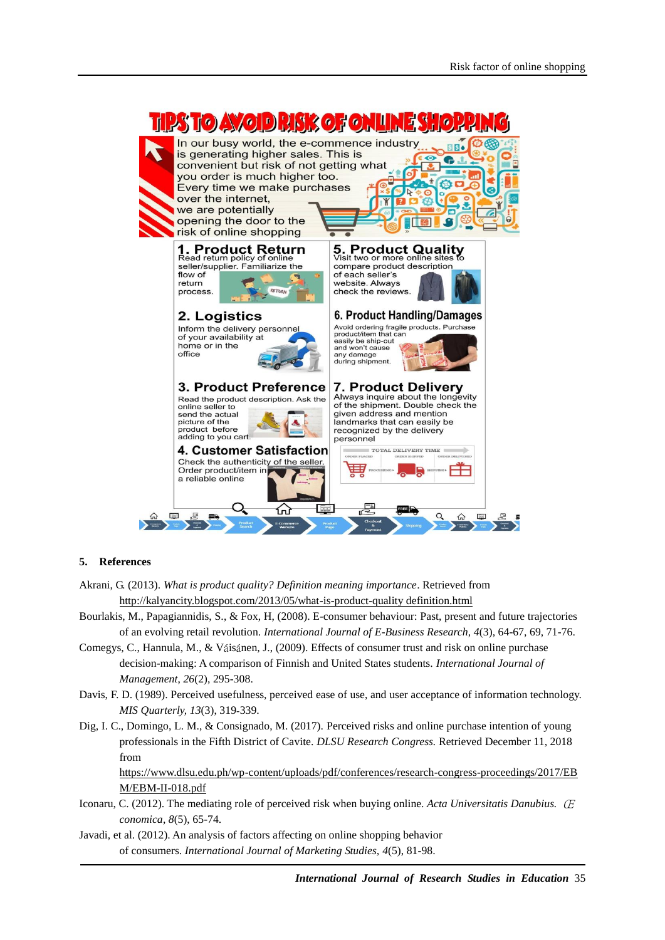

# **5. References**

- Akrani, G. (2013). *What is product quality? Definition meaning importance*. Retrieved from [http://kalyancity.blogspot.com/2013/05/what-is-product-quality definition.html](http://kalyancity.blogspot.com/2013/05/what-is-product-quality%20definition.html)
- Bourlakis, M., Papagiannidis, S., & Fox, H, (2008). E-consumer behaviour: Past, present and future trajectories of an evolving retail revolution. *International Journal of E-Business Research*, *4*(3), 64-67, 69, 71-76.
- Comegys, C., Hannula, M., & Váisánen, J., (2009). Effects of consumer trust and risk on online purchase decision-making: A comparison of Finnish and United States students. *International Journal of Management*, *26*(2), 295-308.
- Davis, F. D. (1989). Perceived usefulness, perceived ease of use, and user acceptance of information technology. *MIS Quarterly, 13*(3), 319‐339.
- Dig, I. C., Domingo, L. M., & Consignado, M. (2017). Perceived risks and online purchase intention of young professionals in the Fifth District of Cavite. *DLSU Research Congress.* Retrieved December 11, 2018 from

[https://www.dlsu.edu.ph/wp-content/uploads/pdf/conferences/research-congress-proceedings/2017/EB](https://www.dlsu.edu.ph/wp-content/uploads/pdf/conferences/research-congress-proceedings/2017/EBM/EBM-II-018.pdf) [M/EBM-II-018.pdf](https://www.dlsu.edu.ph/wp-content/uploads/pdf/conferences/research-congress-proceedings/2017/EBM/EBM-II-018.pdf)

- Iconaru, C. (2012). The mediating role of perceived risk when buying online. *Acta Universitatis Danubius.* Œ *conomica*, *8*(5), 65-74.
- Javadi, et al. (2012). An analysis of factors affecting on online shopping behavior of consumers. *International Journal of Marketing Studies, 4*(5), 81-98.